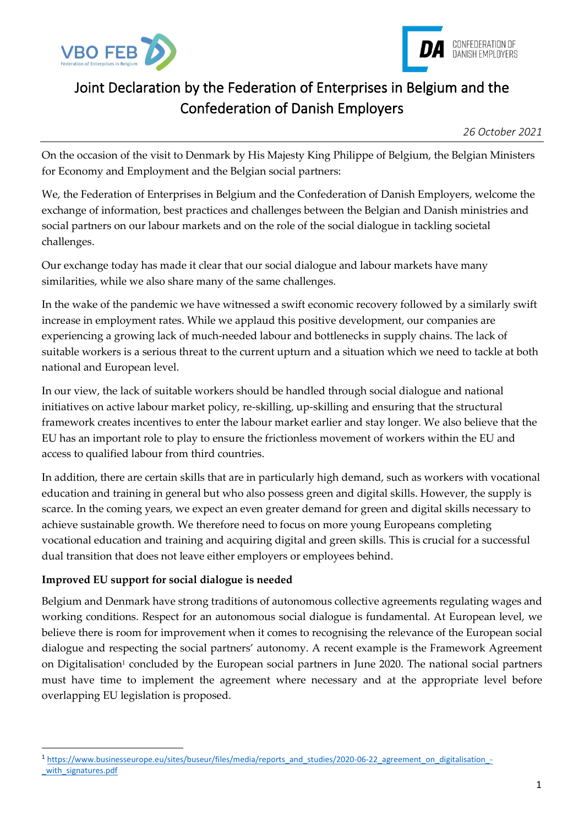



## Joint Declaration by the Federation of Enterprises in Belgium and the Confederation of Danish Employers

On the occasion of the visit to Denmark by His Majesty King Philippe of Belgium, the Belgian Ministers for Economy and Employment and the Belgian social partners:

We, the Federation of Enterprises in Belgium and the Confederation of Danish Employers, welcome the exchange of information, best practices and challenges between the Belgian and Danish ministries and social partners on our labour markets and on the role of the social dialogue in tackling societal challenges.

Our exchange today has made it clear that our social dialogue and labour markets have many similarities, while we also share many of the same challenges.

In the wake of the pandemic we have witnessed a swift economic recovery followed by a similarly swift increase in employment rates. While we applaud this positive development, our companies are experiencing a growing lack of much-needed labour and bottlenecks in supply chains. The lack of suitable workers is a serious threat to the current upturn and a situation which we need to tackle at both national and European level.

In our view, the lack of suitable workers should be handled through social dialogue and national initiatives on active labour market policy, re-skilling, up-skilling and ensuring that the structural framework creates incentives to enter the labour market earlier and stay longer. We also believe that the EU has an important role to play to ensure the frictionless movement of workers within the EU and access to qualified labour from third countries.

In addition, there are certain skills that are in particularly high demand, such as workers with vocational education and training in general but who also possess green and digital skills. However, the supply is scarce. In the coming years, we expect an even greater demand for green and digital skills necessary to achieve sustainable growth. We therefore need to focus on more young Europeans completing vocational education and training and acquiring digital and green skills. This is crucial for a successful dual transition that does not leave either employers or employees behind.

## **Improved EU support for social dialogue is needed**

Belgium and Denmark have strong traditions of autonomous collective agreements regulating wages and working conditions. Respect for an autonomous social dialogue is fundamental. At European level, we believe there is room for improvement when it comes to recognising the relevance of the European social dialogue and respecting the social partners' autonomy. A recent example is the Framework Agreement on Digitalisation<sup>1</sup> concluded by the European social partners in June 2020. The national social partners must have time to implement the agreement where necessary and at the appropriate level before overlapping EU legislation is proposed.

<sup>1</sup> [https://www.businesseurope.eu/sites/buseur/files/media/reports\\_and\\_studies/2020-06-22\\_agreement\\_on\\_digitalisation\\_](https://www.businesseurope.eu/sites/buseur/files/media/reports_and_studies/2020-06-22_agreement_on_digitalisation_-_with_signatures.pdf) with signatures.pdf